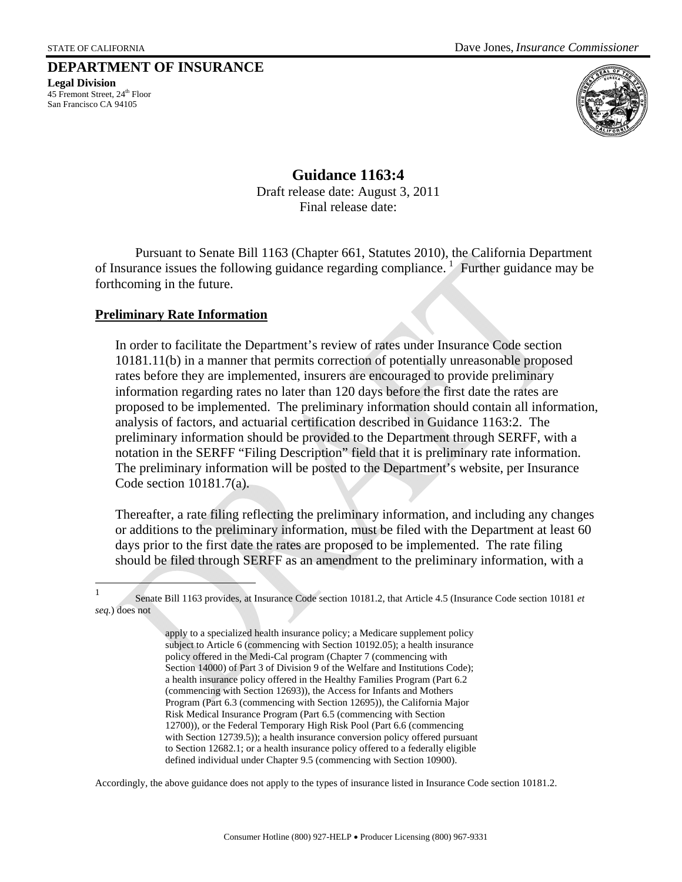## **DEPARTMENT OF INSURANCE**

**Legal Division**  45 Fremont Street, 24<sup>th</sup> Floor San Francisco CA 94105



**Guidance 1163:4**  Draft release date: August 3, 2011 Final release date:

Pursuant to Senate Bill 1163 (Chapter 661, Statutes 2010), the California Department of Insurance issues the following guidance regarding compliance.<sup>[1](#page-0-0)</sup> Further guidance may be forthcoming in the future.

## **Preliminary Rate Information**

In order to facilitate the Department's review of rates under Insurance Code section 10181.11(b) in a manner that permits correction of potentially unreasonable proposed rates before they are implemented, insurers are encouraged to provide preliminary information regarding rates no later than 120 days before the first date the rates are proposed to be implemented. The preliminary information should contain all information, analysis of factors, and actuarial certification described in Guidance 1163:2. The preliminary information should be provided to the Department through SERFF, with a notation in the SERFF "Filing Description" field that it is preliminary rate information. The preliminary information will be posted to the Department's website, per Insurance Code section 10181.7(a).

 Thereafter, a rate filing reflecting the preliminary information, and including any changes or additions to the preliminary information, must be filed with the Department at least 60 days prior to the first date the rates are proposed to be implemented. The rate filing should be filed through SERFF as an amendment to the preliminary information, with a

Accordingly, the above guidance does not apply to the types of insurance listed in Insurance Code section 10181.2.

<span id="page-0-0"></span> $\frac{1}{1}$  Senate Bill 1163 provides, at Insurance Code section 10181.2, that Article 4.5 (Insurance Code section 10181 *et seq.*) does not

apply to a specialized health insurance policy; a Medicare supplement policy subject to Article 6 (commencing with Section 10192.05); a health insurance policy offered in the Medi-Cal program (Chapter 7 (commencing with Section 14000) of Part 3 of Division 9 of the Welfare and Institutions Code); a health insurance policy offered in the Healthy Families Program (Part 6.2 (commencing with Section 12693)), the Access for Infants and Mothers Program (Part 6.3 (commencing with Section 12695)), the California Major Risk Medical Insurance Program (Part 6.5 (commencing with Section 12700)), or the Federal Temporary High Risk Pool (Part 6.6 (commencing with Section 12739.5)); a health insurance conversion policy offered pursuant to Section 12682.1; or a health insurance policy offered to a federally eligible defined individual under Chapter 9.5 (commencing with Section 10900).